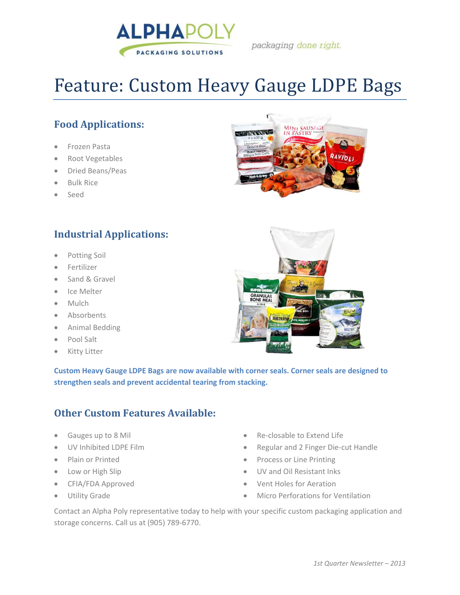

packaging done right.

# Feature: Custom Heavy Gauge LDPE Bags

### **Food Applications:**

- Frozen Pasta
- Root Vegetables
- Dried Beans/Peas
- Bulk Rice
- Seed

#### **Industrial Applications:**

- Potting Soil
- **•** Fertilizer
- Sand & Gravel
- Ice Melter
- Mulch
- Absorbents
- Animal Bedding
- Pool Salt
- **•** Kitty Litter

**Custom Heavy Gauge LDPE Bags are now available with corner seals. Corner seals are designed to strengthen seals and prevent accidental tearing from stacking.**

#### **Other Custom Features Available:**

- Gauges up to 8 Mil
- UV Inhibited LDPE Film
- Plain or Printed
- Low or High Slip
- CFIA/FDA Approved
- Utility Grade
- Re-closable to Extend Life
- Regular and 2 Finger Die-cut Handle
- Process or Line Printing
- UV and Oil Resistant Inks
- Vent Holes for Aeration
- Micro Perforations for Ventilation

Contact an Alpha Poly representative today to help with your specific custom packaging application and storage concerns. Call us at (905) 789-6770.